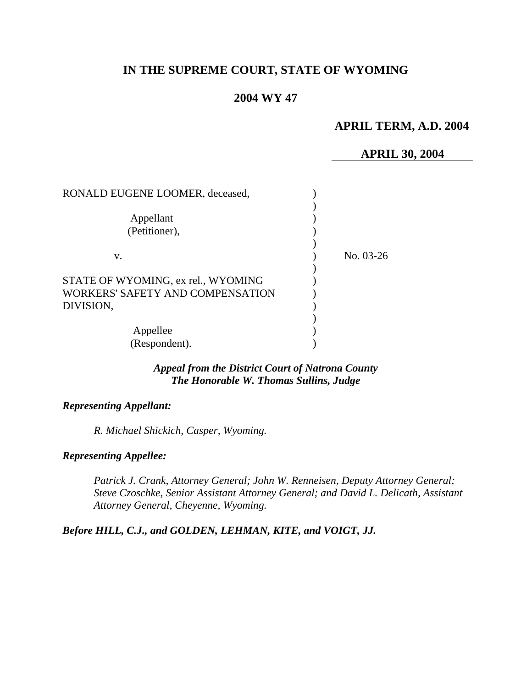# **IN THE SUPREME COURT, STATE OF WYOMING**

## **2004 WY 47**

# **APRIL TERM, A.D. 2004**

#### **APRIL 30, 2004**

| RONALD EUGENE LOOMER, deceased,    |           |
|------------------------------------|-----------|
|                                    |           |
| Appellant                          |           |
| (Petitioner),                      |           |
|                                    |           |
| V.                                 | No. 03-26 |
|                                    |           |
| STATE OF WYOMING, ex rel., WYOMING |           |
| WORKERS' SAFETY AND COMPENSATION   |           |
| DIVISION,                          |           |
|                                    |           |
| Appellee                           |           |
| (Respondent).                      |           |

### *Appeal from the District Court of Natrona County The Honorable W. Thomas Sullins, Judge*

#### *Representing Appellant:*

*R. Michael Shickich, Casper, Wyoming.* 

#### *Representing Appellee:*

*Patrick J. Crank, Attorney General; John W. Renneisen, Deputy Attorney General; Steve Czoschke, Senior Assistant Attorney General; and David L. Delicath, Assistant Attorney General, Cheyenne, Wyoming.* 

#### *Before HILL, C.J., and GOLDEN, LEHMAN, KITE, and VOIGT, JJ.*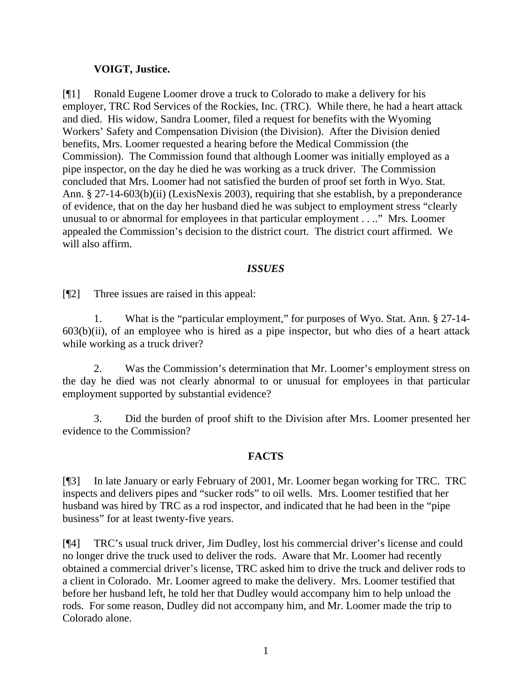## **VOIGT, Justice.**

[¶1] Ronald Eugene Loomer drove a truck to Colorado to make a delivery for his employer, TRC Rod Services of the Rockies, Inc. (TRC). While there, he had a heart attack and died. His widow, Sandra Loomer, filed a request for benefits with the Wyoming Workers' Safety and Compensation Division (the Division). After the Division denied benefits, Mrs. Loomer requested a hearing before the Medical Commission (the Commission). The Commission found that although Loomer was initially employed as a pipe inspector, on the day he died he was working as a truck driver. The Commission concluded that Mrs. Loomer had not satisfied the burden of proof set forth in Wyo. Stat. Ann. § 27-14-603(b)(ii) (LexisNexis 2003), requiring that she establish, by a preponderance of evidence, that on the day her husband died he was subject to employment stress "clearly unusual to or abnormal for employees in that particular employment . . .." Mrs. Loomer appealed the Commission's decision to the district court. The district court affirmed. We will also affirm.

### *ISSUES*

[¶2] Three issues are raised in this appeal:

1. What is the "particular employment," for purposes of Wyo. Stat. Ann. § 27-14-  $603(b)(ii)$ , of an employee who is hired as a pipe inspector, but who dies of a heart attack while working as a truck driver?

2. Was the Commission's determination that Mr. Loomer's employment stress on the day he died was not clearly abnormal to or unusual for employees in that particular employment supported by substantial evidence?

3. Did the burden of proof shift to the Division after Mrs. Loomer presented her evidence to the Commission?

### **FACTS**

[¶3] In late January or early February of 2001, Mr. Loomer began working for TRC. TRC inspects and delivers pipes and "sucker rods" to oil wells. Mrs. Loomer testified that her husband was hired by TRC as a rod inspector, and indicated that he had been in the "pipe business" for at least twenty-five years.

[¶4] TRC's usual truck driver, Jim Dudley, lost his commercial driver's license and could no longer drive the truck used to deliver the rods. Aware that Mr. Loomer had recently obtained a commercial driver's license, TRC asked him to drive the truck and deliver rods to a client in Colorado. Mr. Loomer agreed to make the delivery. Mrs. Loomer testified that before her husband left, he told her that Dudley would accompany him to help unload the rods. For some reason, Dudley did not accompany him, and Mr. Loomer made the trip to Colorado alone.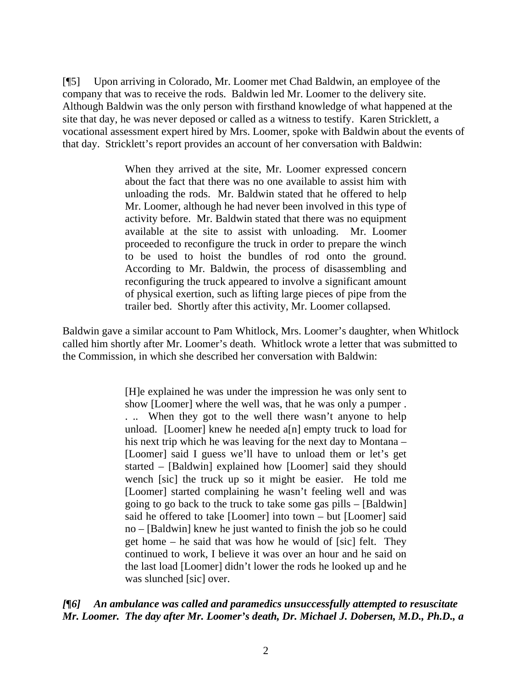[¶5] Upon arriving in Colorado, Mr. Loomer met Chad Baldwin, an employee of the company that was to receive the rods. Baldwin led Mr. Loomer to the delivery site. Although Baldwin was the only person with firsthand knowledge of what happened at the site that day, he was never deposed or called as a witness to testify. Karen Stricklett, a vocational assessment expert hired by Mrs. Loomer, spoke with Baldwin about the events of that day. Stricklett's report provides an account of her conversation with Baldwin:

> When they arrived at the site, Mr. Loomer expressed concern about the fact that there was no one available to assist him with unloading the rods. Mr. Baldwin stated that he offered to help Mr. Loomer, although he had never been involved in this type of activity before. Mr. Baldwin stated that there was no equipment available at the site to assist with unloading. Mr. Loomer proceeded to reconfigure the truck in order to prepare the winch to be used to hoist the bundles of rod onto the ground. According to Mr. Baldwin, the process of disassembling and reconfiguring the truck appeared to involve a significant amount of physical exertion, such as lifting large pieces of pipe from the trailer bed. Shortly after this activity, Mr. Loomer collapsed.

Baldwin gave a similar account to Pam Whitlock, Mrs. Loomer's daughter, when Whitlock called him shortly after Mr. Loomer's death. Whitlock wrote a letter that was submitted to the Commission, in which she described her conversation with Baldwin:

> [H]e explained he was under the impression he was only sent to show [Loomer] where the well was, that he was only a pumper . . .. When they got to the well there wasn't anyone to help unload. [Loomer] knew he needed a[n] empty truck to load for his next trip which he was leaving for the next day to Montana – [Loomer] said I guess we'll have to unload them or let's get started – [Baldwin] explained how [Loomer] said they should wench [sic] the truck up so it might be easier. He told me [Loomer] started complaining he wasn't feeling well and was going to go back to the truck to take some gas pills – [Baldwin] said he offered to take [Loomer] into town – but [Loomer] said no – [Baldwin] knew he just wanted to finish the job so he could get home – he said that was how he would of [sic] felt. They continued to work, I believe it was over an hour and he said on the last load [Loomer] didn't lower the rods he looked up and he was slunched [sic] over.

*[¶6] An ambulance was called and paramedics unsuccessfully attempted to resuscitate Mr. Loomer. The day after Mr. Loomer's death, Dr. Michael J. Dobersen, M.D., Ph.D., a*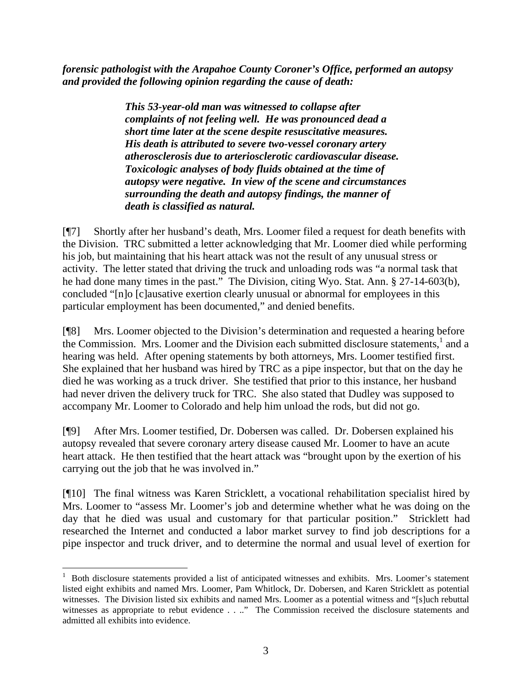*forensic pathologist with the Arapahoe County Coroner's Office, performed an autopsy and provided the following opinion regarding the cause of death:* 

> *This 53-year-old man was witnessed to collapse after complaints of not feeling well. He was pronounced dead a short time later at the scene despite resuscitative measures. His death is attributed to severe two-vessel coronary artery atherosclerosis due to arteriosclerotic cardiovascular disease. Toxicologic analyses of body fluids obtained at the time of autopsy were negative. In view of the scene and circumstances surrounding the death and autopsy findings, the manner of death is classified as natural.*

[¶7] Shortly after her husband's death, Mrs. Loomer filed a request for death benefits with the Division. TRC submitted a letter acknowledging that Mr. Loomer died while performing his job, but maintaining that his heart attack was not the result of any unusual stress or activity. The letter stated that driving the truck and unloading rods was "a normal task that he had done many times in the past." The Division, citing Wyo. Stat. Ann. § 27-14-603(b), concluded "[n]o [c]ausative exertion clearly unusual or abnormal for employees in this particular employment has been documented," and denied benefits.

[¶8] Mrs. Loomer objected to the Division's determination and requested a hearing before theCommission. Mrs. Loomer and the Division each submitted disclosure statements,<sup>1</sup> and a hearing was held. After opening statements by both attorneys, Mrs. Loomer testified first. She explained that her husband was hired by TRC as a pipe inspector, but that on the day he died he was working as a truck driver. She testified that prior to this instance, her husband had never driven the delivery truck for TRC. She also stated that Dudley was supposed to accompany Mr. Loomer to Colorado and help him unload the rods, but did not go.

[¶9] After Mrs. Loomer testified, Dr. Dobersen was called. Dr. Dobersen explained his autopsy revealed that severe coronary artery disease caused Mr. Loomer to have an acute heart attack. He then testified that the heart attack was "brought upon by the exertion of his carrying out the job that he was involved in."

[¶10] The final witness was Karen Stricklett, a vocational rehabilitation specialist hired by Mrs. Loomer to "assess Mr. Loomer's job and determine whether what he was doing on the day that he died was usual and customary for that particular position." Stricklett had researched the Internet and conducted a labor market survey to find job descriptions for a pipe inspector and truck driver, and to determine the normal and usual level of exertion for

<span id="page-3-0"></span>l <sup>1</sup> Both disclosure statements provided a list of anticipated witnesses and exhibits. Mrs. Loomer's statement listed eight exhibits and named Mrs. Loomer, Pam Whitlock, Dr. Dobersen, and Karen Stricklett as potential witnesses. The Division listed six exhibits and named Mrs. Loomer as a potential witness and "[s]uch rebuttal witnesses as appropriate to rebut evidence . . .." The Commission received the disclosure statements and admitted all exhibits into evidence.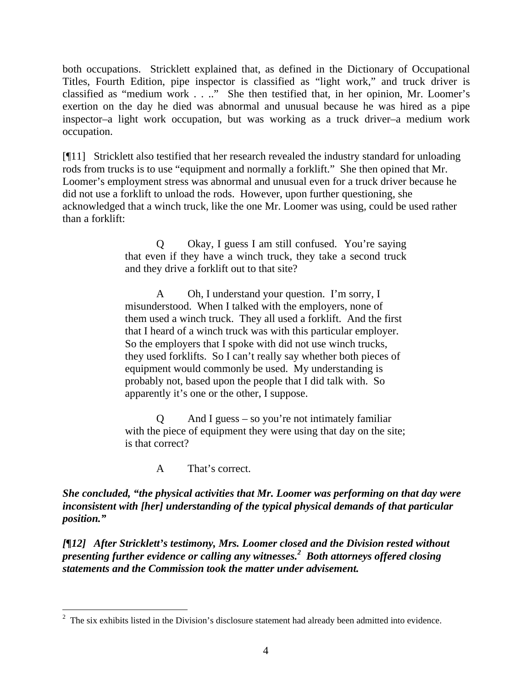both occupations. Stricklett explained that, as defined in the Dictionary of Occupational Titles, Fourth Edition, pipe inspector is classified as "light work," and truck driver is classified as "medium work . . .." She then testified that, in her opinion, Mr. Loomer's exertion on the day he died was abnormal and unusual because he was hired as a pipe inspector–a light work occupation, but was working as a truck driver–a medium work occupation.

[¶11] Stricklett also testified that her research revealed the industry standard for unloading rods from trucks is to use "equipment and normally a forklift." She then opined that Mr. Loomer's employment stress was abnormal and unusual even for a truck driver because he did not use a forklift to unload the rods. However, upon further questioning, she acknowledged that a winch truck, like the one Mr. Loomer was using, could be used rather than a forklift:

> Q Okay, I guess I am still confused. You're saying that even if they have a winch truck, they take a second truck and they drive a forklift out to that site?

A Oh, I understand your question. I'm sorry, I misunderstood. When I talked with the employers, none of them used a winch truck. They all used a forklift. And the first that I heard of a winch truck was with this particular employer. So the employers that I spoke with did not use winch trucks, they used forklifts. So I can't really say whether both pieces of equipment would commonly be used. My understanding is probably not, based upon the people that I did talk with. So apparently it's one or the other, I suppose.

And I guess – so you're not intimately familiar with the piece of equipment they were using that day on the site; is that correct?

A That's correct.

*She concluded, "the physical activities that Mr. Loomer was performing on that day were inconsistent with [her] understanding of the typical physical demands of that particular position."* 

*[¶12] After Stricklett's testimony, Mrs. Loomer closed and the Division rested without presenting further evidence or calling any witnesses.[2](#page-4-0) Both attorneys offered closing statements and the Commission took the matter under advisement.* 

<span id="page-4-0"></span> $2$  The six exhibits listed in the Division's disclosure statement had already been admitted into evidence.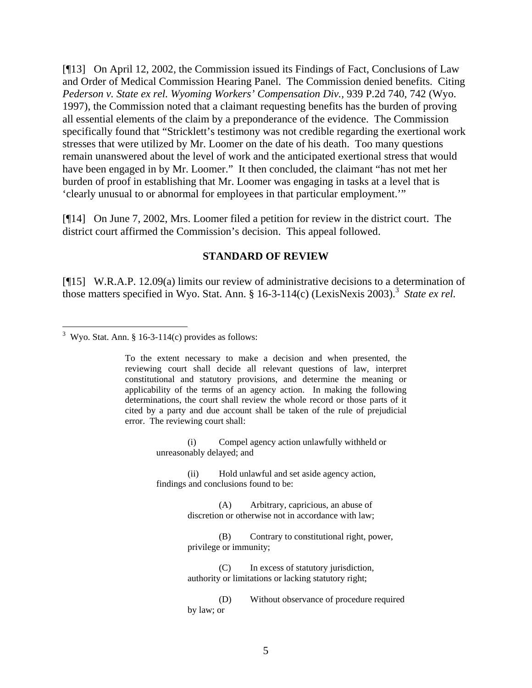[¶13] On April 12, 2002, the Commission issued its Findings of Fact, Conclusions of Law and Order of Medical Commission Hearing Panel. The Commission denied benefits. Citing *Pederson v. State ex rel. Wyoming Workers' Compensation Div., 939 P.2d 740, 742 (Wyo.* 1997), the Commission noted that a claimant requesting benefits has the burden of proving all essential elements of the claim by a preponderance of the evidence. The Commission specifically found that "Stricklett's testimony was not credible regarding the exertional work stresses that were utilized by Mr. Loomer on the date of his death. Too many questions remain unanswered about the level of work and the anticipated exertional stress that would have been engaged in by Mr. Loomer." It then concluded, the claimant "has not met her burden of proof in establishing that Mr. Loomer was engaging in tasks at a level that is 'clearly unusual to or abnormal for employees in that particular employment.'"

[¶14] On June 7, 2002, Mrs. Loomer filed a petition for review in the district court. The district court affirmed the Commission's decision. This appeal followed.

#### **STANDARD OF REVIEW**

[¶15] W.R.A.P. 12.09(a) limits our review of administrative decisions to a determination of those matters specified in Wyo. Stat. Ann. § 16-[3](#page-5-0)-114(c) (LexisNexis 2003).<sup>3</sup> State ex rel.

To the extent necessary to make a decision and when presented, the reviewing court shall decide all relevant questions of law, interpret constitutional and statutory provisions, and determine the meaning or applicability of the terms of an agency action. In making the following determinations, the court shall review the whole record or those parts of it cited by a party and due account shall be taken of the rule of prejudicial error. The reviewing court shall:

> (i) Compel agency action unlawfully withheld or unreasonably delayed; and

(ii) Hold unlawful and set aside agency action, findings and conclusions found to be:

> (A) Arbitrary, capricious, an abuse of discretion or otherwise not in accordance with law;

(B) Contrary to constitutional right, power, privilege or immunity;

(C) In excess of statutory jurisdiction, authority or limitations or lacking statutory right;

(D) Without observance of procedure required by law; or

<span id="page-5-0"></span> $\frac{3}{3}$  Wyo. Stat. Ann. § 16-3-114(c) provides as follows: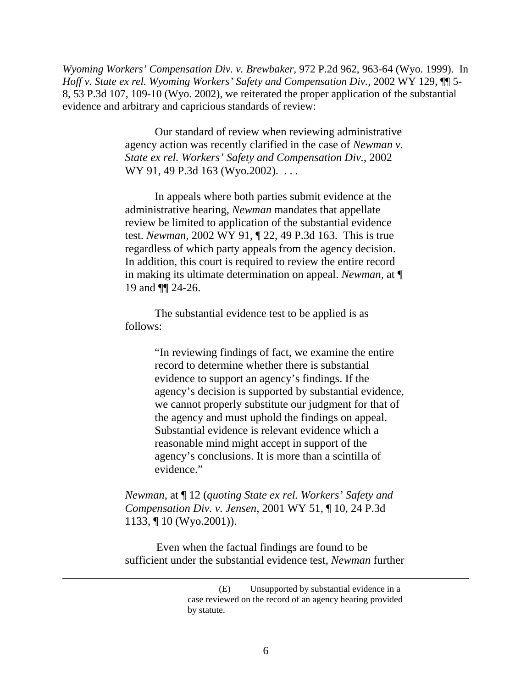*Wyoming Workers' Compensation Div. v. Brewbaker,* 972 P.2d 962, 963-64 (Wyo. 1999). In *Hoff v. State ex rel. Wyoming Workers' Safety and Compensation Div., 2002 WY 129,*  $\P$ *<sup>* $\uparrow$ *</sup>5-*8, 53 P.3d 107, 109-10 (Wyo. 2002), we reiterated the proper application of the substantial evidence and arbitrary and capricious standards of review:

> Our standard of review when reviewing administrative agency action was recently clarified in the case of *Newman v. State ex rel. Workers' Safety and Compensation Div.*, 2002 WY 91, 49 P.3d 163 (Wyo.2002). . . .

> In appeals where both parties submit evidence at the administrative hearing, *Newman* mandates that appellate review be limited to application of the substantial evidence test. *Newman*, 2002 WY 91, ¶ 22, 49 P.3d 163. This is true regardless of which party appeals from the agency decision. In addition, this court is required to review the entire record in making its ultimate determination on appeal. *Newman*, at ¶ 19 and ¶¶ 24-26.

The substantial evidence test to be applied is as follows:

> "In reviewing findings of fact, we examine the entire record to determine whether there is substantial evidence to support an agency's findings. If the agency's decision is supported by substantial evidence, we cannot properly substitute our judgment for that of the agency and must uphold the findings on appeal. Substantial evidence is relevant evidence which a reasonable mind might accept in support of the agency's conclusions. It is more than a scintilla of evidence."

*Newman*, at ¶ 12 (*quoting State ex rel. Workers' Safety and Compensation Div. v. Jensen*, 2001 WY 51, ¶ 10, 24 P.3d 1133, ¶ 10 (Wyo.2001)).

Even when the factual findings are found to be sufficient under the substantial evidence test, *Newman* further

 $\overline{a}$ 

<sup>(</sup>E) Unsupported by substantial evidence in a case reviewed on the record of an agency hearing provided by statute.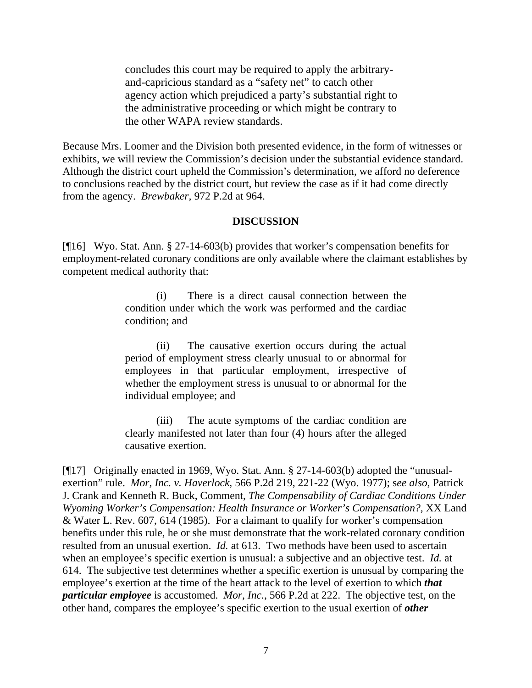concludes this court may be required to apply the arbitraryand-capricious standard as a "safety net" to catch other agency action which prejudiced a party's substantial right to the administrative proceeding or which might be contrary to the other WAPA review standards.

Because Mrs. Loomer and the Division both presented evidence, in the form of witnesses or exhibits, we will review the Commission's decision under the substantial evidence standard. Although the district court upheld the Commission's determination, we afford no deference to conclusions reached by the district court, but review the case as if it had come directly from the agency. *Brewbaker,* 972 P.2d at 964.

#### **DISCUSSION**

[¶16] Wyo. Stat. Ann. § 27-14-603(b) provides that worker's compensation benefits for employment-related coronary conditions are only available where the claimant establishes by competent medical authority that:

> (i) There is a direct causal connection between the condition under which the work was performed and the cardiac condition; and

> (ii) The causative exertion occurs during the actual period of employment stress clearly unusual to or abnormal for employees in that particular employment, irrespective of whether the employment stress is unusual to or abnormal for the individual employee; and

> (iii) The acute symptoms of the cardiac condition are clearly manifested not later than four (4) hours after the alleged causative exertion.

[¶17] Originally enacted in 1969, Wyo. Stat. Ann. § 27-14-603(b) adopted the "unusualexertion" rule. *Mor, Inc. v. Haverlock*, 566 P.2d 219, 221-22 (Wyo. 1977); s*ee also,* Patrick J. Crank and Kenneth R. Buck, Comment, *The Compensability of Cardiac Conditions Under Wyoming Worker's Compensation: Health Insurance or Worker's Compensation?, XX Land* & Water L. Rev. 607, 614 (1985). For a claimant to qualify for worker's compensation benefits under this rule, he or she must demonstrate that the work-related coronary condition resulted from an unusual exertion. *Id.* at 613. Two methods have been used to ascertain when an employee's specific exertion is unusual: a subjective and an objective test. *Id.* at 614. The subjective test determines whether a specific exertion is unusual by comparing the employee's exertion at the time of the heart attack to the level of exertion to which *that particular employee* is accustomed. *Mor, Inc.*, 566 P.2d at 222. The objective test, on the other hand, compares the employee's specific exertion to the usual exertion of *other*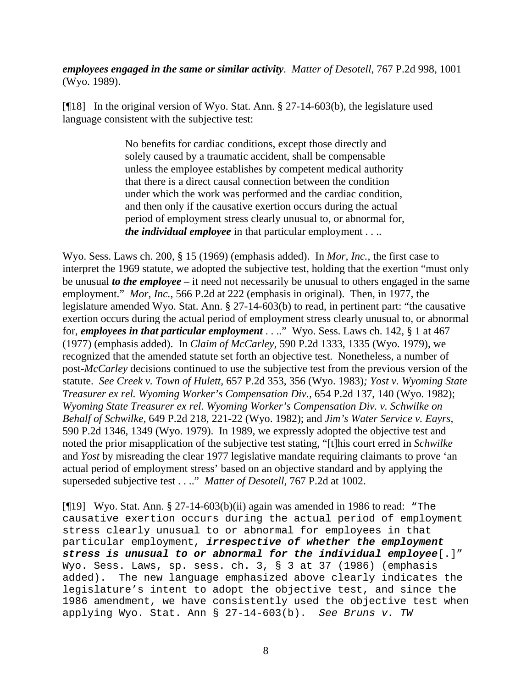*employees engaged in the same or similar activity*. *Matter of Desotell*, 767 P.2d 998, 1001 (Wyo. 1989).

[¶18] In the original version of Wyo. Stat. Ann. § 27-14-603(b), the legislature used language consistent with the subjective test:

> No benefits for cardiac conditions, except those directly and solely caused by a traumatic accident, shall be compensable unless the employee establishes by competent medical authority that there is a direct causal connection between the condition under which the work was performed and the cardiac condition, and then only if the causative exertion occurs during the actual period of employment stress clearly unusual to, or abnormal for, *the individual employee* in that particular employment . . ..

Wyo. Sess. Laws ch. 200, § 15 (1969) (emphasis added). In *Mor, Inc.,* the first case to interpret the 1969 statute, we adopted the subjective test, holding that the exertion "must only be unusual *to the employee –* it need not necessarily be unusual to others engaged in the same employment." *Mor, Inc.*, 566 P.2d at 222 (emphasis in original). Then, in 1977, the legislature amended Wyo. Stat. Ann. § 27-14-603(b) to read, in pertinent part: "the causative exertion occurs during the actual period of employment stress clearly unusual to, or abnormal for, *employees in that particular employment* . . .." Wyo. Sess. Laws ch. 142, § 1 at 467 (1977) (emphasis added). In *Claim of McCarley,* 590 P.2d 1333, 1335 (Wyo. 1979), we recognized that the amended statute set forth an objective test. Nonetheless, a number of post-*McCarley* decisions continued to use the subjective test from the previous version of the statute. *See Creek v. Town of Hulett,* 657 P.2d 353, 356 (Wyo. 1983)*; Yost v. Wyoming State Treasurer ex rel. Wyoming Worker's Compensation Div.,* 654 P.2d 137, 140 (Wyo. 1982); *Wyoming State Treasurer ex rel. Wyoming Worker's Compensation Div. v. Schwilke on Behalf of Schwilke,* 649 P.2d 218, 221-22 (Wyo. 1982); and *Jim's Water Service v. Eayrs,*  590 P.2d 1346, 1349 (Wyo. 1979). In 1989, we expressly adopted the objective test and noted the prior misapplication of the subjective test stating, "[t]his court erred in *Schwilke*  and *Yost* by misreading the clear 1977 legislative mandate requiring claimants to prove 'an actual period of employment stress' based on an objective standard and by applying the superseded subjective test . . .." *Matter of Desotell,* 767 P.2d at 1002.

[ $\llbracket \cdot \rrbracket$ 19] Wyo. Stat. Ann. § 27-14-603(b)(ii) again was amended in 1986 to read: "The causative exertion occurs during the actual period of employment stress clearly unusual to or abnormal for employees in that particular employment, *irrespective of whether the employment stress is unusual to or abnormal for the individual employee*[.]" Wyo. Sess. Laws, sp. sess. ch. 3, § 3 at 37 (1986) (emphasis added). The new language emphasized above clearly indicates the legislature's intent to adopt the objective test, and since the 1986 amendment, we have consistently used the objective test when applying Wyo. Stat. Ann § 27-14-603(b). *See Bruns v. TW*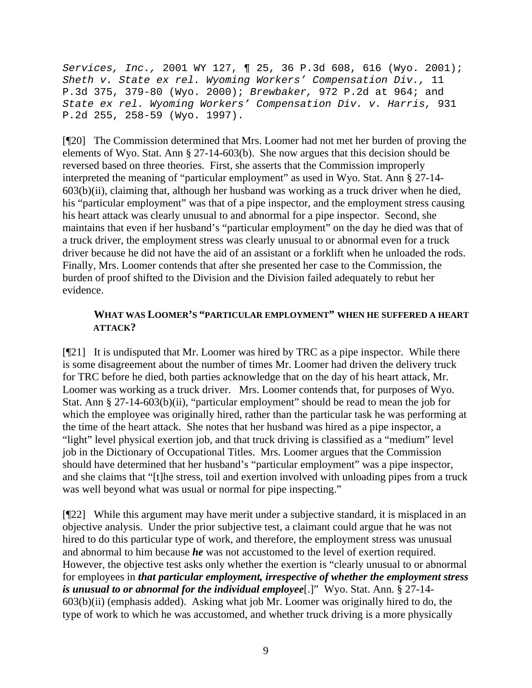*Services, Inc.,* 2001 WY 127, ¶ 25, 36 P.3d 608, 616 (Wyo. 2001); *Sheth v. State ex rel. Wyoming Workers' Compensation Div.,* 11 P.3d 375, 379-80 (Wyo. 2000); *Brewbaker,* 972 P.2d at 964; and *State ex rel. Wyoming Workers' Compensation Div. v. Harris,* 931 P.2d 255, 258-59 (Wyo. 1997).

[¶20] The Commission determined that Mrs. Loomer had not met her burden of proving the elements of Wyo. Stat. Ann § 27-14-603(b). She now argues that this decision should be reversed based on three theories. First, she asserts that the Commission improperly interpreted the meaning of "particular employment" as used in Wyo. Stat. Ann § 27-14-  $603(b)(ii)$ , claiming that, although her husband was working as a truck driver when he died, his "particular employment" was that of a pipe inspector, and the employment stress causing his heart attack was clearly unusual to and abnormal for a pipe inspector. Second, she maintains that even if her husband's "particular employment" on the day he died was that of a truck driver, the employment stress was clearly unusual to or abnormal even for a truck driver because he did not have the aid of an assistant or a forklift when he unloaded the rods. Finally, Mrs. Loomer contends that after she presented her case to the Commission, the burden of proof shifted to the Division and the Division failed adequately to rebut her evidence.

### **WHAT WAS LOOMER'S "PARTICULAR EMPLOYMENT" WHEN HE SUFFERED A HEART ATTACK?**

[¶21] It is undisputed that Mr. Loomer was hired by TRC as a pipe inspector. While there is some disagreement about the number of times Mr. Loomer had driven the delivery truck for TRC before he died, both parties acknowledge that on the day of his heart attack, Mr. Loomer was working as a truck driver. Mrs. Loomer contends that, for purposes of Wyo. Stat. Ann § 27-14-603(b)(ii), "particular employment" should be read to mean the job for which the employee was originally hired, rather than the particular task he was performing at the time of the heart attack. She notes that her husband was hired as a pipe inspector, a "light" level physical exertion job, and that truck driving is classified as a "medium" level job in the Dictionary of Occupational Titles. Mrs. Loomer argues that the Commission should have determined that her husband's "particular employment" was a pipe inspector, and she claims that "[t]he stress, toil and exertion involved with unloading pipes from a truck was well beyond what was usual or normal for pipe inspecting."

[¶22] While this argument may have merit under a subjective standard, it is misplaced in an objective analysis. Under the prior subjective test, a claimant could argue that he was not hired to do this particular type of work, and therefore, the employment stress was unusual and abnormal to him because *he* was not accustomed to the level of exertion required. However, the objective test asks only whether the exertion is "clearly unusual to or abnormal for employees in *that particular employment, irrespective of whether the employment stress is unusual to or abnormal for the individual employee*[.]" Wyo. Stat. Ann. § 27-14- 603(b)(ii) (emphasis added). Asking what job Mr. Loomer was originally hired to do, the type of work to which he was accustomed, and whether truck driving is a more physically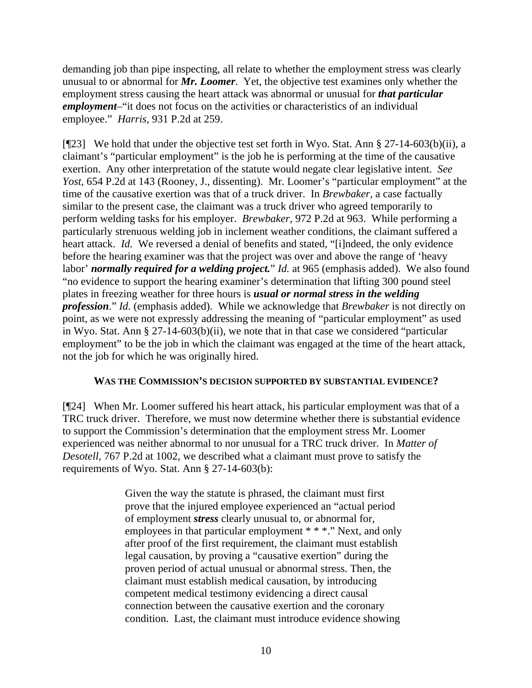demanding job than pipe inspecting, all relate to whether the employment stress was clearly unusual to or abnormal for *Mr. Loomer*. Yet, the objective test examines only whether the employment stress causing the heart attack was abnormal or unusual for *that particular employment*–"it does not focus on the activities or characteristics of an individual employee." *Harris,* 931 P.2d at 259.

[¶23] We hold that under the objective test set forth in Wyo. Stat. Ann § 27-14-603(b)(ii), a claimant's "particular employment" is the job he is performing at the time of the causative exertion. Any other interpretation of the statute would negate clear legislative intent. *See Yost,* 654 P.2d at 143 (Rooney, J., dissenting). Mr. Loomer's "particular employment" at the time of the causative exertion was that of a truck driver. In *Brewbaker,* a case factually similar to the present case, the claimant was a truck driver who agreed temporarily to perform welding tasks for his employer. *Brewbaker,* 972 P.2d at 963. While performing a particularly strenuous welding job in inclement weather conditions, the claimant suffered a heart attack. *Id.* We reversed a denial of benefits and stated, "[i]ndeed, the only evidence before the hearing examiner was that the project was over and above the range of 'heavy labor' *normally required for a welding project.*" *Id.* at 965 (emphasis added). We also found "no evidence to support the hearing examiner's determination that lifting 300 pound steel plates in freezing weather for three hours is *usual or normal stress in the welding profession*." *Id.* (emphasis added). While we acknowledge that *Brewbaker* is not directly on point, as we were not expressly addressing the meaning of "particular employment" as used in Wyo. Stat. Ann § 27-14-603(b)(ii), we note that in that case we considered "particular employment" to be the job in which the claimant was engaged at the time of the heart attack, not the job for which he was originally hired.

### **WAS THE COMMISSION'S DECISION SUPPORTED BY SUBSTANTIAL EVIDENCE?**

[¶24] When Mr. Loomer suffered his heart attack, his particular employment was that of a TRC truck driver. Therefore, we must now determine whether there is substantial evidence to support the Commission's determination that the employment stress Mr. Loomer experienced was neither abnormal to nor unusual for a TRC truck driver. In *Matter of Desotell,* 767 P.2d at 1002, we described what a claimant must prove to satisfy the requirements of Wyo. Stat. Ann § 27-14-603(b):

> Given the way the statute is phrased, the claimant must first prove that the injured employee experienced an "actual period of employment *stress* clearly unusual to, or abnormal for, employees in that particular employment \* \* \*." Next, and only after proof of the first requirement, the claimant must establish legal causation, by proving a "causative exertion" during the proven period of actual unusual or abnormal stress. Then, the claimant must establish medical causation, by introducing competent medical testimony evidencing a direct causal connection between the causative exertion and the coronary condition. Last, the claimant must introduce evidence showing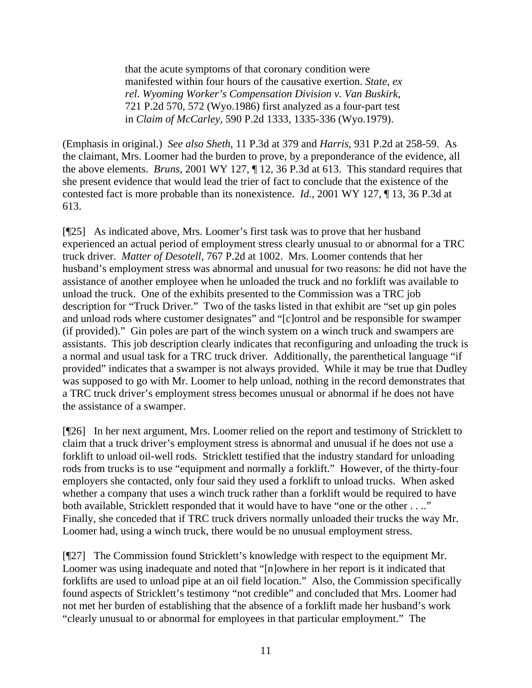that the acute symptoms of that coronary condition were manifested within four hours of the causative exertion. *State, ex rel. Wyoming Worker's Compensation Division v. Van Buskirk*, 721 P.2d 570, 572 (Wyo.1986) first analyzed as a four-part test in *Claim of McCarley*, 590 P.2d 1333, 1335-336 (Wyo.1979).

(Emphasis in original.) *See also Sheth,* 11 P.3d at 379 and *Harris,* 931 P.2d at 258-59. As the claimant, Mrs. Loomer had the burden to prove, by a preponderance of the evidence, all the above elements. *Bruns,* 2001 WY 127, ¶ 12, 36 P.3d at 613. This standard requires that she present evidence that would lead the trier of fact to conclude that the existence of the contested fact is more probable than its nonexistence. *Id.*, 2001 WY 127, ¶ 13, 36 P.3d at 613.

[¶25] As indicated above, Mrs. Loomer's first task was to prove that her husband experienced an actual period of employment stress clearly unusual to or abnormal for a TRC truck driver. *Matter of Desotell,* 767 P.2d at 1002. Mrs. Loomer contends that her husband's employment stress was abnormal and unusual for two reasons: he did not have the assistance of another employee when he unloaded the truck and no forklift was available to unload the truck. One of the exhibits presented to the Commission was a TRC job description for "Truck Driver." Two of the tasks listed in that exhibit are "set up gin poles and unload rods where customer designates" and "[c]ontrol and be responsible for swamper (if provided)." Gin poles are part of the winch system on a winch truck and swampers are assistants. This job description clearly indicates that reconfiguring and unloading the truck is a normal and usual task for a TRC truck driver. Additionally, the parenthetical language "if provided" indicates that a swamper is not always provided. While it may be true that Dudley was supposed to go with Mr. Loomer to help unload, nothing in the record demonstrates that a TRC truck driver's employment stress becomes unusual or abnormal if he does not have the assistance of a swamper.

[¶26] In her next argument, Mrs. Loomer relied on the report and testimony of Stricklett to claim that a truck driver's employment stress is abnormal and unusual if he does not use a forklift to unload oil-well rods. Stricklett testified that the industry standard for unloading rods from trucks is to use "equipment and normally a forklift." However, of the thirty-four employers she contacted, only four said they used a forklift to unload trucks. When asked whether a company that uses a winch truck rather than a forklift would be required to have both available, Stricklett responded that it would have to have "one or the other . . .." Finally, she conceded that if TRC truck drivers normally unloaded their trucks the way Mr. Loomer had, using a winch truck, there would be no unusual employment stress.

[¶27] The Commission found Stricklett's knowledge with respect to the equipment Mr. Loomer was using inadequate and noted that "[n]owhere in her report is it indicated that forklifts are used to unload pipe at an oil field location." Also, the Commission specifically found aspects of Stricklett's testimony "not credible" and concluded that Mrs. Loomer had not met her burden of establishing that the absence of a forklift made her husband's work "clearly unusual to or abnormal for employees in that particular employment." The